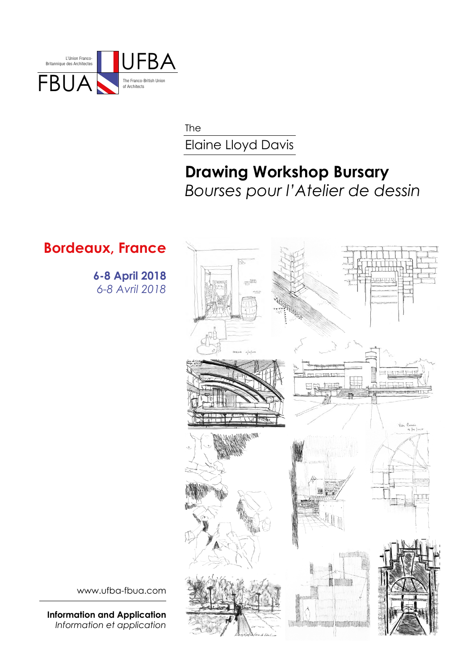

The

Elaine Lloyd Davis

## **Drawing Workshop Bursary** *Bourses pour l'Atelier de dessin*

## **Bordeaux, France**

 **6-8 April 2018** *6-8 Avril 2018*



www.ufba-fbua.com

**Information and Application** *Information et application*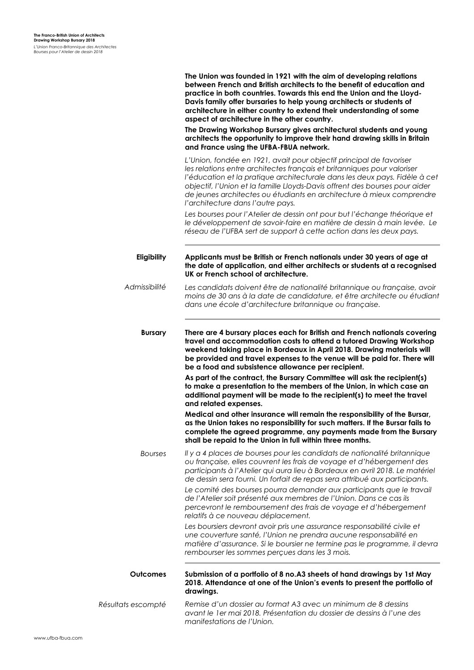|                    | The Union was founded in 1921 with the aim of developing relations<br>between French and British architects to the benefit of education and<br>practice in both countries. Towards this end the Union and the Lloyd-<br>Davis family offer bursaries to help young architects or students of<br>architecture in either country to extend their understanding of some<br>aspect of architecture in the other country.<br>The Drawing Workshop Bursary gives architectural students and young<br>architects the opportunity to improve their hand drawing skills in Britain<br>and France using the UFBA-FBUA network. |
|--------------------|----------------------------------------------------------------------------------------------------------------------------------------------------------------------------------------------------------------------------------------------------------------------------------------------------------------------------------------------------------------------------------------------------------------------------------------------------------------------------------------------------------------------------------------------------------------------------------------------------------------------|
|                    | L'Union, fondée en 1921, avait pour objectif principal de favoriser<br>les relations entre architectes français et britanniques pour valoriser<br>l'éducation et la pratique architecturale dans les deux pays. Fidèle à cet<br>objectif, l'Union et la famille Lloyds-Davis offrent des bourses pour aider<br>de jeunes architectes ou étudiants en architecture à mieux comprendre<br>l'architecture dans l'autre pays.                                                                                                                                                                                            |
|                    | Les bourses pour l'Atelier de dessin ont pour but l'échange théorique et<br>le développement de savoir-faire en matière de dessin à main levée. Le<br>réseau de l'UFBA sert de support à cette action dans les deux pays.                                                                                                                                                                                                                                                                                                                                                                                            |
| Eligibility        | Applicants must be British or French nationals under 30 years of age at<br>the date of application, and either architects or students at a recognised<br>UK or French school of architecture.                                                                                                                                                                                                                                                                                                                                                                                                                        |
| Admissibilité      | Les candidats doivent être de nationalité britannique ou française, avoir<br>moins de 30 ans à la date de candidature, et être architecte ou étudiant<br>dans une école d'architecture britannique ou française.                                                                                                                                                                                                                                                                                                                                                                                                     |
| <b>Bursary</b>     | There are 4 bursary places each for British and French nationals covering<br>travel and accommodation costs to attend a tutored Drawing Workshop<br>weekend taking place in Bordeaux in April 2018. Drawing materials will<br>be provided and travel expenses to the venue will be paid for. There will<br>be a food and subsistence allowance per recipient.                                                                                                                                                                                                                                                        |
|                    | As part of the contract, the Bursary Committee will ask the recipient(s)<br>to make a presentation to the members of the Union, in which case an<br>additional payment will be made to the recipient(s) to meet the travel<br>and related expenses.                                                                                                                                                                                                                                                                                                                                                                  |
|                    | Medical and other insurance will remain the responsibility of the Bursar,<br>as the Union takes no responsibility for such matters. If the Bursar fails to<br>complete the agreed programme, any payments made from the Bursary<br>shall be repaid to the Union in full within three months.                                                                                                                                                                                                                                                                                                                         |
| <b>Bourses</b>     | Il y a 4 places de bourses pour les candidats de nationalité britannique<br>ou française, elles couvrent les frais de voyage et d'hébergement des<br>participants à l'Atelier qui aura lieu à Bordeaux en avril 2018. Le matériel<br>de dessin sera fourni. Un forfait de repas sera attribué aux participants.                                                                                                                                                                                                                                                                                                      |
|                    | Le comité des bourses pourra demander aux participants que le travail<br>de l'Atelier soit présenté aux membres de l'Union. Dans ce cas ils<br>percevront le remboursement des frais de voyage et d'hébergement<br>relatifs à ce nouveau déplacement.                                                                                                                                                                                                                                                                                                                                                                |
|                    | Les boursiers devront avoir pris une assurance responsabilité civile et<br>une couverture santé, l'Union ne prendra aucune responsabilité en<br>matière d'assurance. Si le boursier ne termine pas le programme, il devra<br>rembourser les sommes perçues dans les 3 mois.                                                                                                                                                                                                                                                                                                                                          |
| <b>Outcomes</b>    | Submission of a portfolio of 8 no. A3 sheets of hand drawings by 1st May<br>2018. Attendance at one of the Union's events to present the portfolio of<br>drawings.                                                                                                                                                                                                                                                                                                                                                                                                                                                   |
| Résultats escompté | Remise d'un dossier au format A3 avec un minimum de 8 dessins<br>avant le 1 er mai 2018. Présentation du dossier de dessins à l'une des                                                                                                                                                                                                                                                                                                                                                                                                                                                                              |

*manifestations de l'Union.*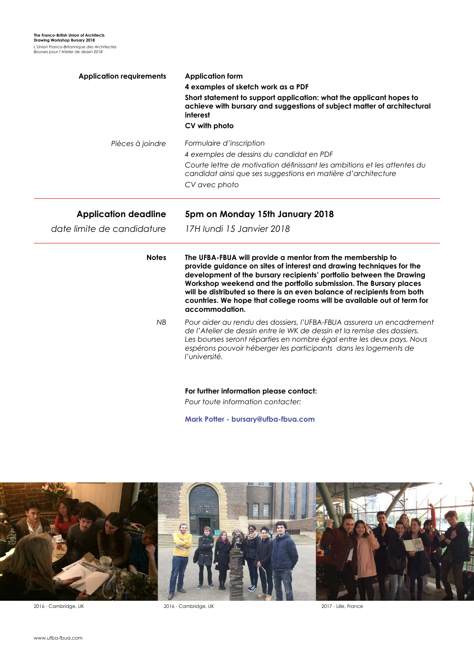| <b>Application requirements</b> | <b>Application form</b><br>4 examples of sketch work as a PDF<br>Short statement to support application: what the applicant hopes to<br>achieve with bursary and suggestions of subject matter of architectural<br>interest<br>CV with photo                                                                                                                                                                                                            |
|---------------------------------|---------------------------------------------------------------------------------------------------------------------------------------------------------------------------------------------------------------------------------------------------------------------------------------------------------------------------------------------------------------------------------------------------------------------------------------------------------|
| Pièces à joindre                | Formulaire d'inscription<br>4 exemples de dessins du candidat en PDF<br>Courte lettre de motivation définissant les ambitions et les attentes du<br>candidat ainsi que ses suggestions en matière d'architecture<br>CV avec photo                                                                                                                                                                                                                       |
| <b>Application deadline</b>     | 5pm on Monday 15th January 2018                                                                                                                                                                                                                                                                                                                                                                                                                         |
| date limite de candidature      | 17H lundi 15 Janvier 2018                                                                                                                                                                                                                                                                                                                                                                                                                               |
| <b>Notes</b>                    | The UFBA-FBUA will provide a mentor from the membership to<br>provide guidance on sites of interest and drawing techniques for the<br>development of the bursary recipients' portfolio between the Drawing<br>Workshop weekend and the portfolio submission. The Bursary places<br>will be distributed so there is an even balance of recipients from both<br>countries. We hope that college rooms will be available out of term for<br>accommodation. |
| <b>NB</b>                       | Pour aider au rendu des dossiers, l'UFBA-FBUA assurera un encadrement<br>de l'Atelier de dessin entre le WK de dessin et la remise des dossiers.<br>Les bourses seront réparties en nombre égal entre les deux pays. Nous<br>espérons pouvoir héberger les participants dans les logements de<br>l'université.                                                                                                                                          |
|                                 | For further information please contact:<br>Pour toute information contacter:                                                                                                                                                                                                                                                                                                                                                                            |

**Mark Potter - bursary@ufba-fbua.com**